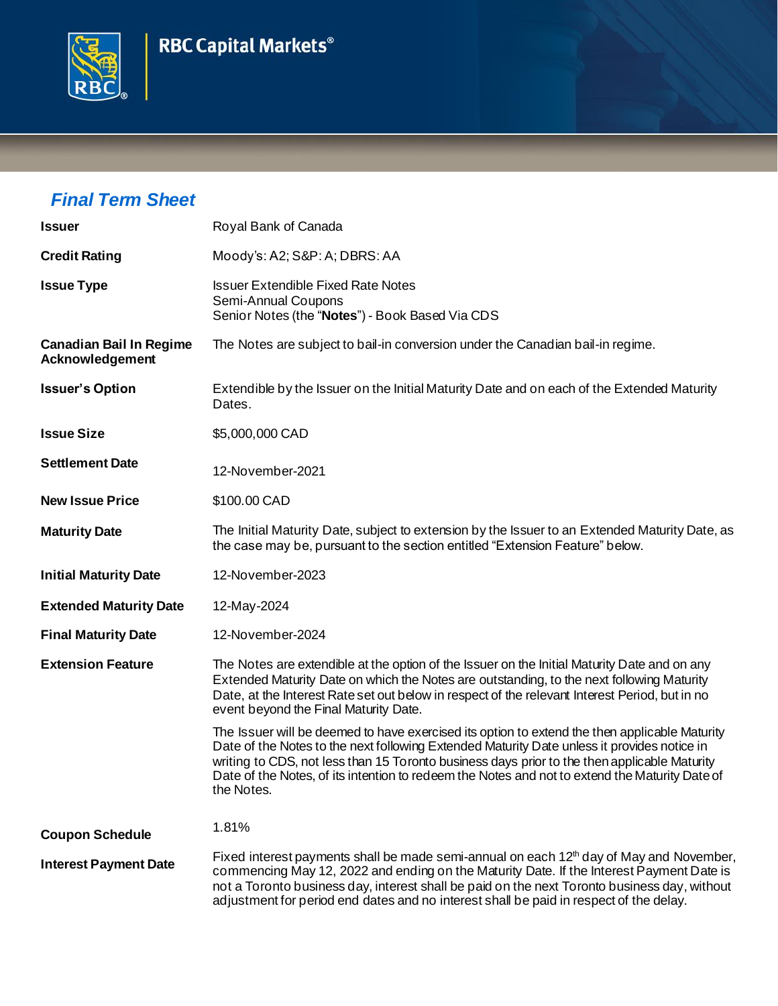## **RBC Capital Markets®**



## *Final Term Sheet*

| <b>Issuer</b>                                     | Royal Bank of Canada                                                                                                                                                                                                                                                                                                                                                                                         |  |  |  |  |
|---------------------------------------------------|--------------------------------------------------------------------------------------------------------------------------------------------------------------------------------------------------------------------------------------------------------------------------------------------------------------------------------------------------------------------------------------------------------------|--|--|--|--|
| <b>Credit Rating</b>                              | Moody's: A2; S&P: A; DBRS: AA                                                                                                                                                                                                                                                                                                                                                                                |  |  |  |  |
| <b>Issue Type</b>                                 | <b>Issuer Extendible Fixed Rate Notes</b><br>Semi-Annual Coupons<br>Senior Notes (the "Notes") - Book Based Via CDS                                                                                                                                                                                                                                                                                          |  |  |  |  |
| <b>Canadian Bail In Regime</b><br>Acknowledgement | The Notes are subject to bail-in conversion under the Canadian bail-in regime.                                                                                                                                                                                                                                                                                                                               |  |  |  |  |
| <b>Issuer's Option</b>                            | Extendible by the Issuer on the Initial Maturity Date and on each of the Extended Maturity<br>Dates.                                                                                                                                                                                                                                                                                                         |  |  |  |  |
| <b>Issue Size</b>                                 | \$5,000,000 CAD                                                                                                                                                                                                                                                                                                                                                                                              |  |  |  |  |
| <b>Settlement Date</b>                            | 12-November-2021                                                                                                                                                                                                                                                                                                                                                                                             |  |  |  |  |
| <b>New Issue Price</b>                            | \$100.00 CAD                                                                                                                                                                                                                                                                                                                                                                                                 |  |  |  |  |
| <b>Maturity Date</b>                              | The Initial Maturity Date, subject to extension by the Issuer to an Extended Maturity Date, as<br>the case may be, pursuant to the section entitled "Extension Feature" below.                                                                                                                                                                                                                               |  |  |  |  |
| <b>Initial Maturity Date</b>                      | 12-November-2023                                                                                                                                                                                                                                                                                                                                                                                             |  |  |  |  |
| <b>Extended Maturity Date</b>                     | 12-May-2024                                                                                                                                                                                                                                                                                                                                                                                                  |  |  |  |  |
| <b>Final Maturity Date</b>                        | 12-November-2024                                                                                                                                                                                                                                                                                                                                                                                             |  |  |  |  |
| <b>Extension Feature</b>                          | The Notes are extendible at the option of the Issuer on the Initial Maturity Date and on any<br>Extended Maturity Date on which the Notes are outstanding, to the next following Maturity<br>Date, at the Interest Rate set out below in respect of the relevant Interest Period, but in no<br>event beyond the Final Maturity Date.                                                                         |  |  |  |  |
|                                                   | The Issuer will be deemed to have exercised its option to extend the then applicable Maturity<br>Date of the Notes to the next following Extended Maturity Date unless it provides notice in<br>writing to CDS, not less than 15 Toronto business days prior to the then applicable Maturity<br>Date of the Notes, of its intention to redeem the Notes and not to extend the Maturity Date of<br>the Notes. |  |  |  |  |
| <b>Coupon Schedule</b>                            | 1.81%                                                                                                                                                                                                                                                                                                                                                                                                        |  |  |  |  |
| <b>Interest Payment Date</b>                      | Fixed interest payments shall be made semi-annual on each $12th$ day of May and November,<br>commencing May 12, 2022 and ending on the Maturity Date. If the Interest Payment Date is<br>not a Toronto business day, interest shall be paid on the next Toronto business day, without<br>adjustment for period end dates and no interest shall be paid in respect of the delay.                              |  |  |  |  |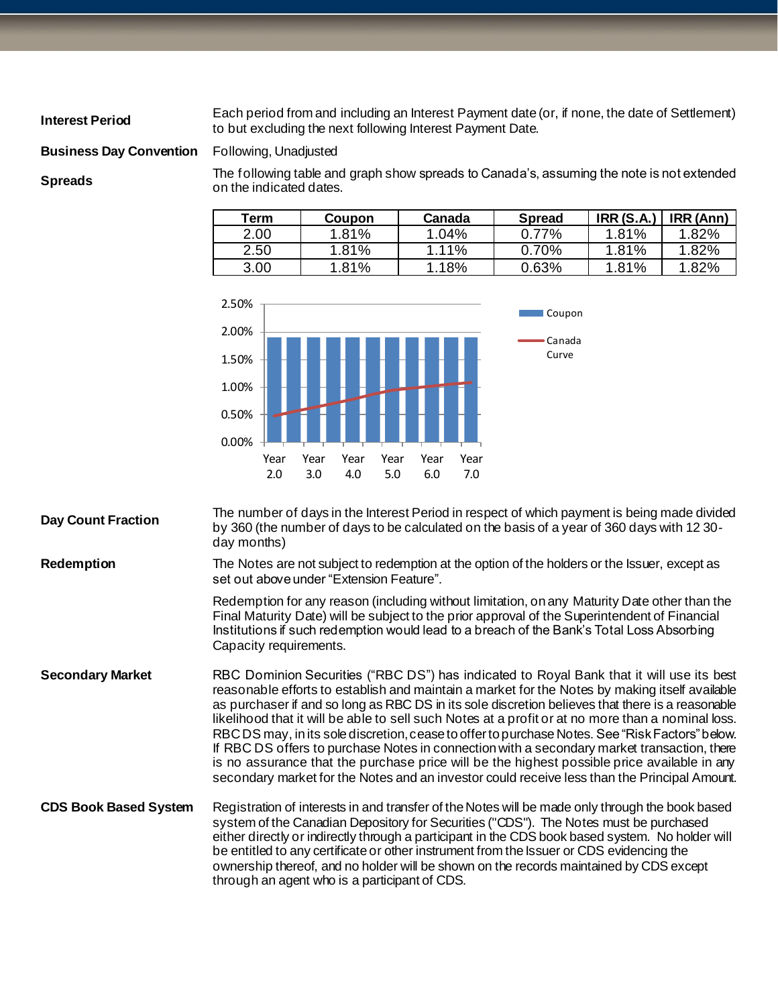**Interest Period** Each period from and including an Interest Payment date (or, if none, the date of Settlement) to but excluding the next following Interest Payment Date.

**Business Day Convention** Following, Unadjusted

**Spreads** The following table and graph show spreads to Canada's, assuming the note is not extended on the indicated dates.

| Term | <b>Coupon</b> | Canada | <b>Spread</b> | IRR(S.A.) | IRR (Ann) |
|------|---------------|--------|---------------|-----------|-----------|
| 2.00 | $1.81\%$      | 1.04%  | 0.77%         | 1.81%     | 1.82%     |
| 2.50 | 1.81%         | 1.11%  | 0.70%         | 1.81%     | 1.82%     |
| 3.00 | 1.81%         | 1.18%  | 0.63%         | 1.81%     | 1.82%     |



**Day Count Fraction** The number of days in the Interest Period in respect of which payment is being made divided<br>
Note that a senate the selection of the principle is a selection of the begin of a very of 200 days with 42. by 360 (the number of days to be calculated on the basis of a year of 360 days with 12 30 day months) **Redemption** The Notes are not subject to redemption at the option of the holders or the Issuer, except as set out above under "Extension Feature".

> Redemption for any reason (including without limitation, on any Maturity Date other than the Final Maturity Date) will be subject to the prior approval of the Superintendent of Financial Institutions if such redemption would lead to a breach of the Bank's Total Loss Absorbing Capacity requirements.

- **Secondary Market** RBC Dominion Securities ("RBC DS") has indicated to Royal Bank that it will use its best reasonable efforts to establish and maintain a market for the Notes by making itself available as purchaser if and so long as RBC DS in its sole discretion believes that there is a reasonable likelihood that it will be able to sell such Notes at a profit or at no more than a nominal loss. RBC DS may, in its sole discretion, cease to offer to purchase Notes. See "Risk Factors" below. If RBC DS offers to purchase Notes in connection with a secondary market transaction, there is no assurance that the purchase price will be the highest possible price available in any secondary market for the Notes and an investor could receive less than the Principal Amount.
- **CDS Book Based System** Registration of interests in and transfer of the Notes will be made only through the book based system of the Canadian Depository for Securities ("CDS"). The Notes must be purchased either directly or indirectly through a participant in the CDS book based system. No holder will be entitled to any certificate or other instrument from the Issuer or CDS evidencing the ownership thereof, and no holder will be shown on the records maintained by CDS except through an agent who is a participant of CDS.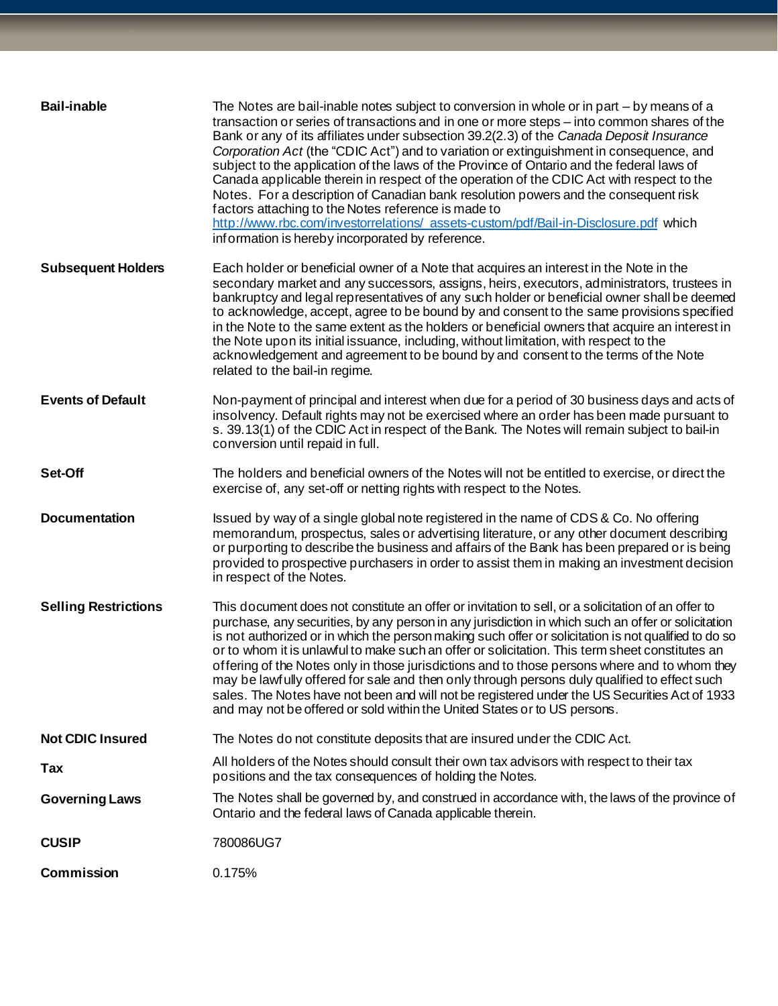| <b>Bail-inable</b>          | The Notes are bail-inable notes subject to conversion in whole or in part – by means of a<br>transaction or series of transactions and in one or more steps - into common shares of the<br>Bank or any of its affiliates under subsection 39.2(2.3) of the Canada Deposit Insurance<br>Corporation Act (the "CDIC Act") and to variation or extinguishment in consequence, and<br>subject to the application of the laws of the Province of Ontario and the federal laws of<br>Canada applicable therein in respect of the operation of the CDIC Act with respect to the<br>Notes. For a description of Canadian bank resolution powers and the consequent risk<br>factors attaching to the Notes reference is made to<br>http://www.rbc.com/investorrelations/ assets-custom/pdf/Bail-in-Disclosure.pdf which<br>information is hereby incorporated by reference. |
|-----------------------------|--------------------------------------------------------------------------------------------------------------------------------------------------------------------------------------------------------------------------------------------------------------------------------------------------------------------------------------------------------------------------------------------------------------------------------------------------------------------------------------------------------------------------------------------------------------------------------------------------------------------------------------------------------------------------------------------------------------------------------------------------------------------------------------------------------------------------------------------------------------------|
| <b>Subsequent Holders</b>   | Each holder or beneficial owner of a Note that acquires an interest in the Note in the<br>secondary market and any successors, assigns, heirs, executors, administrators, trustees in<br>bankruptcy and legal representatives of any such holder or beneficial owner shall be deemed<br>to acknowledge, accept, agree to be bound by and consent to the same provisions specified<br>in the Note to the same extent as the holders or beneficial owners that acquire an interest in<br>the Note upon its initial issuance, including, without limitation, with respect to the<br>acknowledgement and agreement to be bound by and consent to the terms of the Note<br>related to the bail-in regime.                                                                                                                                                               |
| <b>Events of Default</b>    | Non-payment of principal and interest when due for a period of 30 business days and acts of<br>insolvency. Default rights may not be exercised where an order has been made pursuant to<br>s. 39.13(1) of the CDIC Act in respect of the Bank. The Notes will remain subject to bail-in<br>conversion until repaid in full.                                                                                                                                                                                                                                                                                                                                                                                                                                                                                                                                        |
| Set-Off                     | The holders and beneficial owners of the Notes will not be entitled to exercise, or direct the<br>exercise of, any set-off or netting rights with respect to the Notes.                                                                                                                                                                                                                                                                                                                                                                                                                                                                                                                                                                                                                                                                                            |
| <b>Documentation</b>        | Issued by way of a single global note registered in the name of CDS & Co. No offering<br>memorandum, prospectus, sales or advertising literature, or any other document describing<br>or purporting to describe the business and affairs of the Bank has been prepared or is being<br>provided to prospective purchasers in order to assist them in making an investment decision<br>in respect of the Notes.                                                                                                                                                                                                                                                                                                                                                                                                                                                      |
| <b>Selling Restrictions</b> | This document does not constitute an offer or invitation to sell, or a solicitation of an offer to<br>purchase, any securities, by any person in any jurisdiction in which such an offer or solicitation<br>is not authorized or in which the person making such offer or solicitation is not qualified to do so<br>or to whom it is unlawful to make such an offer or solicitation. This term sheet constitutes an<br>offering of the Notes only in those jurisdictions and to those persons where and to whom they<br>may be lawfully offered for sale and then only through persons duly qualified to effect such<br>sales. The Notes have not been and will not be registered under the US Securities Act of 1933<br>and may not be offered or sold within the United States or to US persons.                                                                 |
| <b>Not CDIC Insured</b>     | The Notes do not constitute deposits that are insured under the CDIC Act.                                                                                                                                                                                                                                                                                                                                                                                                                                                                                                                                                                                                                                                                                                                                                                                          |
| Tax                         | All holders of the Notes should consult their own tax advisors with respect to their tax<br>positions and the tax consequences of holding the Notes.                                                                                                                                                                                                                                                                                                                                                                                                                                                                                                                                                                                                                                                                                                               |
| <b>Governing Laws</b>       | The Notes shall be governed by, and construed in accordance with, the laws of the province of<br>Ontario and the federal laws of Canada applicable therein.                                                                                                                                                                                                                                                                                                                                                                                                                                                                                                                                                                                                                                                                                                        |
| <b>CUSIP</b>                | 780086UG7                                                                                                                                                                                                                                                                                                                                                                                                                                                                                                                                                                                                                                                                                                                                                                                                                                                          |
| Commission                  | 0.175%                                                                                                                                                                                                                                                                                                                                                                                                                                                                                                                                                                                                                                                                                                                                                                                                                                                             |